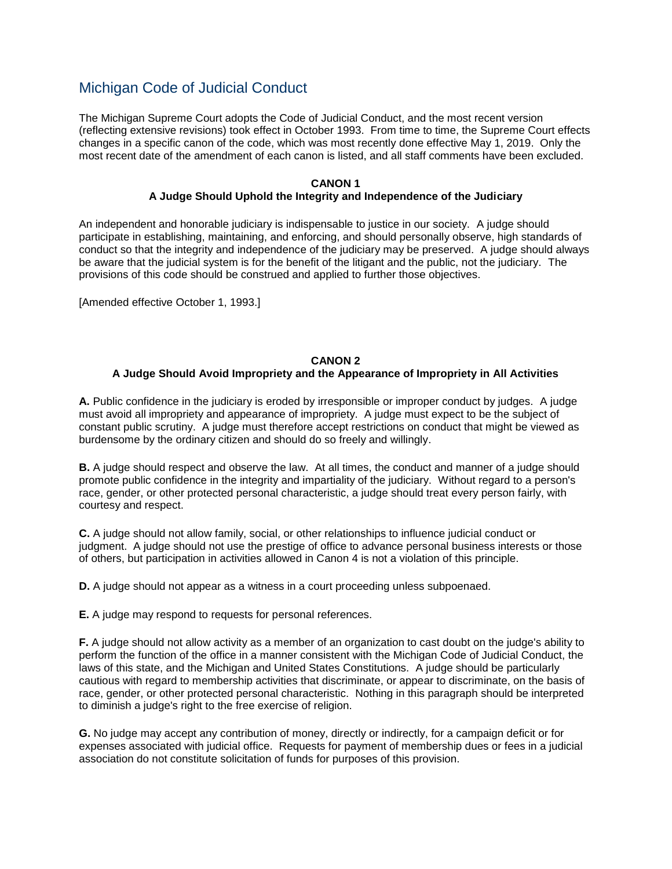# Michigan Code of Judicial Conduct

The Michigan Supreme Court adopts the Code of Judicial Conduct, and the most recent version (reflecting extensive revisions) took effect in October 1993. From time to time, the Supreme Court effects changes in a specific canon of the code, which was most recently done effective May 1, 2019. Only the most recent date of the amendment of each canon is listed, and all staff comments have been excluded.

#### **CANON 1 A Judge Should Uphold the Integrity and Independence of the Judiciary**

An independent and honorable judiciary is indispensable to justice in our society. A judge should participate in establishing, maintaining, and enforcing, and should personally observe, high standards of conduct so that the integrity and independence of the judiciary may be preserved. A judge should always be aware that the judicial system is for the benefit of the litigant and the public, not the judiciary. The provisions of this code should be construed and applied to further those objectives.

[Amended effective October 1, 1993.]

## **CANON 2**

# **A Judge Should Avoid Impropriety and the Appearance of Impropriety in All Activities**

**A.** Public confidence in the judiciary is eroded by irresponsible or improper conduct by judges. A judge must avoid all impropriety and appearance of impropriety. A judge must expect to be the subject of constant public scrutiny. A judge must therefore accept restrictions on conduct that might be viewed as burdensome by the ordinary citizen and should do so freely and willingly.

**B.** A judge should respect and observe the law. At all times, the conduct and manner of a judge should promote public confidence in the integrity and impartiality of the judiciary. Without regard to a person's race, gender, or other protected personal characteristic, a judge should treat every person fairly, with courtesy and respect.

**C.** A judge should not allow family, social, or other relationships to influence judicial conduct or judgment. A judge should not use the prestige of office to advance personal business interests or those of others, but participation in activities allowed in Canon 4 is not a violation of this principle.

**D.** A judge should not appear as a witness in a court proceeding unless subpoenaed.

**E.** A judge may respond to requests for personal references.

**F.** A judge should not allow activity as a member of an organization to cast doubt on the judge's ability to perform the function of the office in a manner consistent with the Michigan Code of Judicial Conduct, the laws of this state, and the Michigan and United States Constitutions. A judge should be particularly cautious with regard to membership activities that discriminate, or appear to discriminate, on the basis of race, gender, or other protected personal characteristic. Nothing in this paragraph should be interpreted to diminish a judge's right to the free exercise of religion.

**G.** No judge may accept any contribution of money, directly or indirectly, for a campaign deficit or for expenses associated with judicial office. Requests for payment of membership dues or fees in a judicial association do not constitute solicitation of funds for purposes of this provision.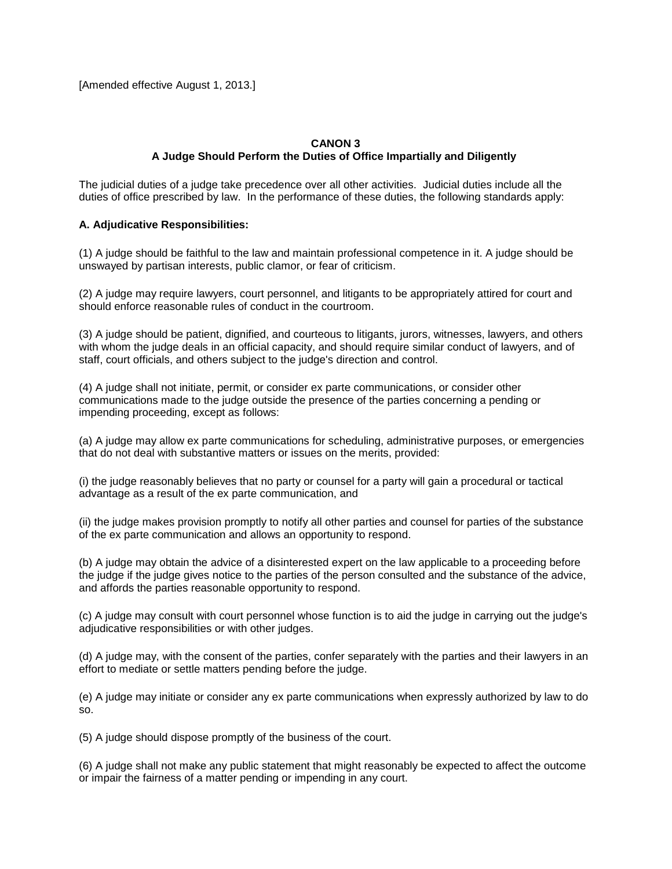# **CANON 3 A Judge Should Perform the Duties of Office Impartially and Diligently**

The judicial duties of a judge take precedence over all other activities. Judicial duties include all the duties of office prescribed by law. In the performance of these duties, the following standards apply:

## **A. Adjudicative Responsibilities:**

(1) A judge should be faithful to the law and maintain professional competence in it. A judge should be unswayed by partisan interests, public clamor, or fear of criticism.

(2) A judge may require lawyers, court personnel, and litigants to be appropriately attired for court and should enforce reasonable rules of conduct in the courtroom.

(3) A judge should be patient, dignified, and courteous to litigants, jurors, witnesses, lawyers, and others with whom the judge deals in an official capacity, and should require similar conduct of lawyers, and of staff, court officials, and others subject to the judge's direction and control.

(4) A judge shall not initiate, permit, or consider ex parte communications, or consider other communications made to the judge outside the presence of the parties concerning a pending or impending proceeding, except as follows:

(a) A judge may allow ex parte communications for scheduling, administrative purposes, or emergencies that do not deal with substantive matters or issues on the merits, provided:

(i) the judge reasonably believes that no party or counsel for a party will gain a procedural or tactical advantage as a result of the ex parte communication, and

(ii) the judge makes provision promptly to notify all other parties and counsel for parties of the substance of the ex parte communication and allows an opportunity to respond.

(b) A judge may obtain the advice of a disinterested expert on the law applicable to a proceeding before the judge if the judge gives notice to the parties of the person consulted and the substance of the advice, and affords the parties reasonable opportunity to respond.

(c) A judge may consult with court personnel whose function is to aid the judge in carrying out the judge's adjudicative responsibilities or with other judges.

(d) A judge may, with the consent of the parties, confer separately with the parties and their lawyers in an effort to mediate or settle matters pending before the judge.

(e) A judge may initiate or consider any ex parte communications when expressly authorized by law to do so.

(5) A judge should dispose promptly of the business of the court.

(6) A judge shall not make any public statement that might reasonably be expected to affect the outcome or impair the fairness of a matter pending or impending in any court.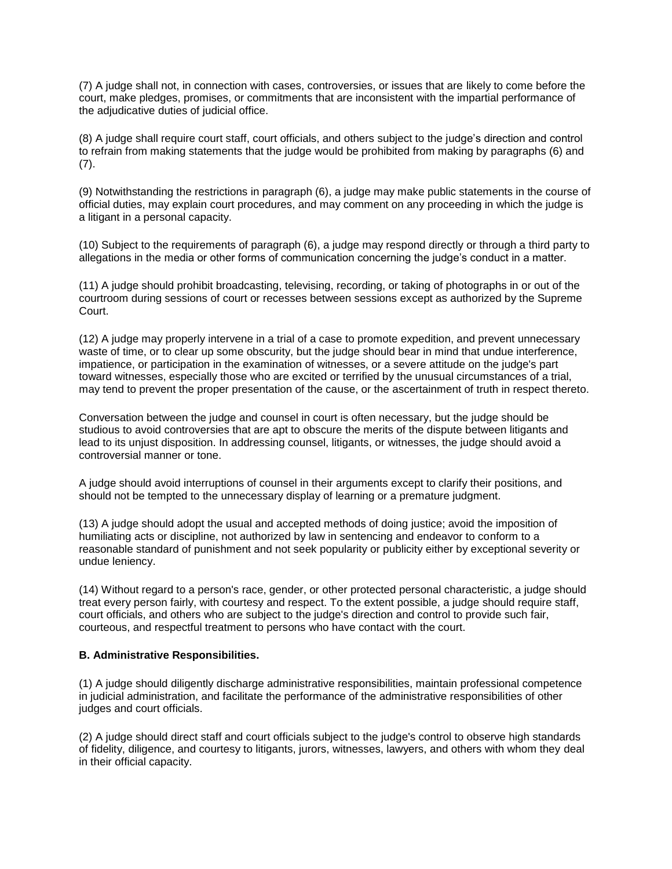(7) A judge shall not, in connection with cases, controversies, or issues that are likely to come before the court, make pledges, promises, or commitments that are inconsistent with the impartial performance of the adjudicative duties of judicial office.

(8) A judge shall require court staff, court officials, and others subject to the judge's direction and control to refrain from making statements that the judge would be prohibited from making by paragraphs (6) and  $(7).$ 

(9) Notwithstanding the restrictions in paragraph (6), a judge may make public statements in the course of official duties, may explain court procedures, and may comment on any proceeding in which the judge is a litigant in a personal capacity.

(10) Subject to the requirements of paragraph (6), a judge may respond directly or through a third party to allegations in the media or other forms of communication concerning the judge's conduct in a matter.

(11) A judge should prohibit broadcasting, televising, recording, or taking of photographs in or out of the courtroom during sessions of court or recesses between sessions except as authorized by the Supreme Court.

(12) A judge may properly intervene in a trial of a case to promote expedition, and prevent unnecessary waste of time, or to clear up some obscurity, but the judge should bear in mind that undue interference, impatience, or participation in the examination of witnesses, or a severe attitude on the judge's part toward witnesses, especially those who are excited or terrified by the unusual circumstances of a trial, may tend to prevent the proper presentation of the cause, or the ascertainment of truth in respect thereto.

Conversation between the judge and counsel in court is often necessary, but the judge should be studious to avoid controversies that are apt to obscure the merits of the dispute between litigants and lead to its unjust disposition. In addressing counsel, litigants, or witnesses, the judge should avoid a controversial manner or tone.

A judge should avoid interruptions of counsel in their arguments except to clarify their positions, and should not be tempted to the unnecessary display of learning or a premature judgment.

(13) A judge should adopt the usual and accepted methods of doing justice; avoid the imposition of humiliating acts or discipline, not authorized by law in sentencing and endeavor to conform to a reasonable standard of punishment and not seek popularity or publicity either by exceptional severity or undue leniency.

(14) Without regard to a person's race, gender, or other protected personal characteristic, a judge should treat every person fairly, with courtesy and respect. To the extent possible, a judge should require staff, court officials, and others who are subject to the judge's direction and control to provide such fair, courteous, and respectful treatment to persons who have contact with the court.

#### **B. Administrative Responsibilities.**

(1) A judge should diligently discharge administrative responsibilities, maintain professional competence in judicial administration, and facilitate the performance of the administrative responsibilities of other judges and court officials.

(2) A judge should direct staff and court officials subject to the judge's control to observe high standards of fidelity, diligence, and courtesy to litigants, jurors, witnesses, lawyers, and others with whom they deal in their official capacity.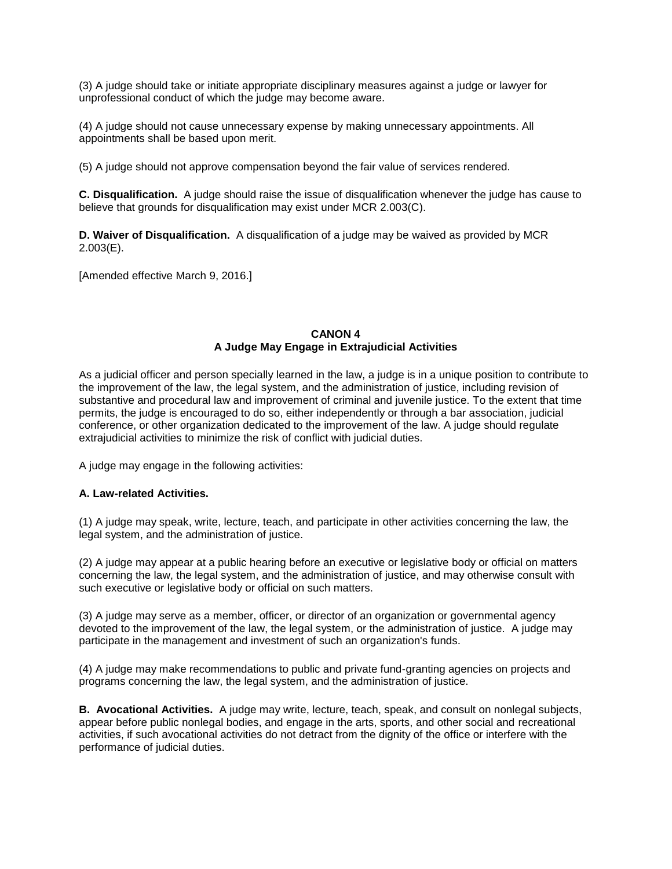(3) A judge should take or initiate appropriate disciplinary measures against a judge or lawyer for unprofessional conduct of which the judge may become aware.

(4) A judge should not cause unnecessary expense by making unnecessary appointments. All appointments shall be based upon merit.

(5) A judge should not approve compensation beyond the fair value of services rendered.

**C. Disqualification.** A judge should raise the issue of disqualification whenever the judge has cause to believe that grounds for disqualification may exist under MCR 2.003(C).

**D. Waiver of Disqualification.** A disqualification of a judge may be waived as provided by MCR 2.003(E).

[Amended effective March 9, 2016.]

#### **CANON 4 A Judge May Engage in Extrajudicial Activities**

As a judicial officer and person specially learned in the law, a judge is in a unique position to contribute to the improvement of the law, the legal system, and the administration of justice, including revision of substantive and procedural law and improvement of criminal and juvenile justice. To the extent that time permits, the judge is encouraged to do so, either independently or through a bar association, judicial conference, or other organization dedicated to the improvement of the law. A judge should regulate extrajudicial activities to minimize the risk of conflict with judicial duties.

A judge may engage in the following activities:

#### **A. Law-related Activities.**

(1) A judge may speak, write, lecture, teach, and participate in other activities concerning the law, the legal system, and the administration of justice.

(2) A judge may appear at a public hearing before an executive or legislative body or official on matters concerning the law, the legal system, and the administration of justice, and may otherwise consult with such executive or legislative body or official on such matters.

(3) A judge may serve as a member, officer, or director of an organization or governmental agency devoted to the improvement of the law, the legal system, or the administration of justice. A judge may participate in the management and investment of such an organization's funds.

(4) A judge may make recommendations to public and private fund-granting agencies on projects and programs concerning the law, the legal system, and the administration of justice.

**B. Avocational Activities.** A judge may write, lecture, teach, speak, and consult on nonlegal subjects, appear before public nonlegal bodies, and engage in the arts, sports, and other social and recreational activities, if such avocational activities do not detract from the dignity of the office or interfere with the performance of judicial duties.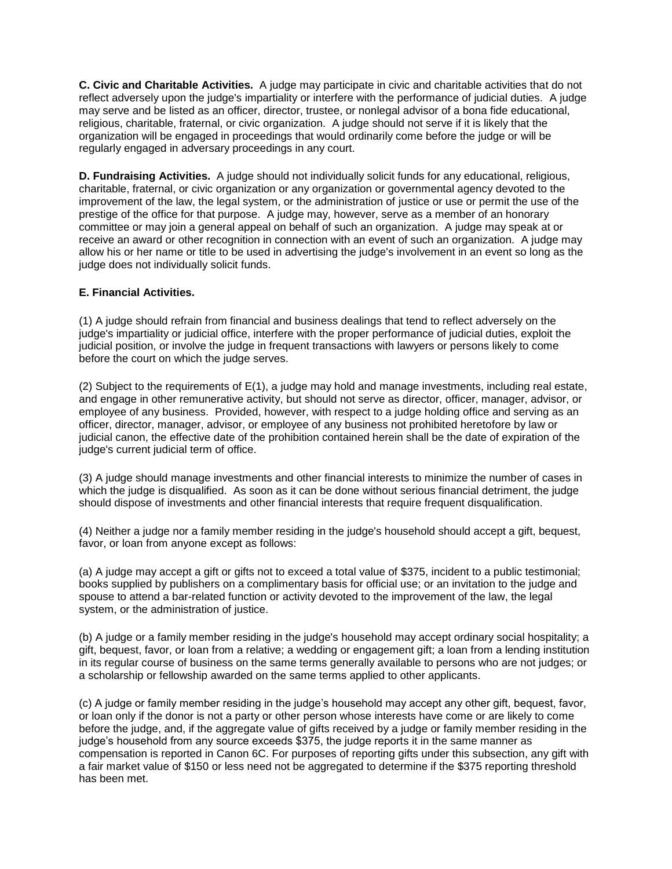**C. Civic and Charitable Activities.** A judge may participate in civic and charitable activities that do not reflect adversely upon the judge's impartiality or interfere with the performance of judicial duties. A judge may serve and be listed as an officer, director, trustee, or nonlegal advisor of a bona fide educational, religious, charitable, fraternal, or civic organization. A judge should not serve if it is likely that the organization will be engaged in proceedings that would ordinarily come before the judge or will be regularly engaged in adversary proceedings in any court.

**D. Fundraising Activities.** A judge should not individually solicit funds for any educational, religious, charitable, fraternal, or civic organization or any organization or governmental agency devoted to the improvement of the law, the legal system, or the administration of justice or use or permit the use of the prestige of the office for that purpose. A judge may, however, serve as a member of an honorary committee or may join a general appeal on behalf of such an organization. A judge may speak at or receive an award or other recognition in connection with an event of such an organization. A judge may allow his or her name or title to be used in advertising the judge's involvement in an event so long as the judge does not individually solicit funds.

## **E. Financial Activities.**

(1) A judge should refrain from financial and business dealings that tend to reflect adversely on the judge's impartiality or judicial office, interfere with the proper performance of judicial duties, exploit the judicial position, or involve the judge in frequent transactions with lawyers or persons likely to come before the court on which the judge serves.

(2) Subject to the requirements of E(1), a judge may hold and manage investments, including real estate, and engage in other remunerative activity, but should not serve as director, officer, manager, advisor, or employee of any business. Provided, however, with respect to a judge holding office and serving as an officer, director, manager, advisor, or employee of any business not prohibited heretofore by law or judicial canon, the effective date of the prohibition contained herein shall be the date of expiration of the judge's current judicial term of office.

(3) A judge should manage investments and other financial interests to minimize the number of cases in which the judge is disqualified. As soon as it can be done without serious financial detriment, the judge should dispose of investments and other financial interests that require frequent disqualification.

(4) Neither a judge nor a family member residing in the judge's household should accept a gift, bequest, favor, or loan from anyone except as follows:

(a) A judge may accept a gift or gifts not to exceed a total value of \$375, incident to a public testimonial; books supplied by publishers on a complimentary basis for official use; or an invitation to the judge and spouse to attend a bar-related function or activity devoted to the improvement of the law, the legal system, or the administration of justice.

(b) A judge or a family member residing in the judge's household may accept ordinary social hospitality; a gift, bequest, favor, or loan from a relative; a wedding or engagement gift; a loan from a lending institution in its regular course of business on the same terms generally available to persons who are not judges; or a scholarship or fellowship awarded on the same terms applied to other applicants.

(c) A judge or family member residing in the judge's household may accept any other gift, bequest, favor, or loan only if the donor is not a party or other person whose interests have come or are likely to come before the judge, and, if the aggregate value of gifts received by a judge or family member residing in the judge's household from any source exceeds \$375, the judge reports it in the same manner as compensation is reported in Canon 6C. For purposes of reporting gifts under this subsection, any gift with a fair market value of \$150 or less need not be aggregated to determine if the \$375 reporting threshold has been met.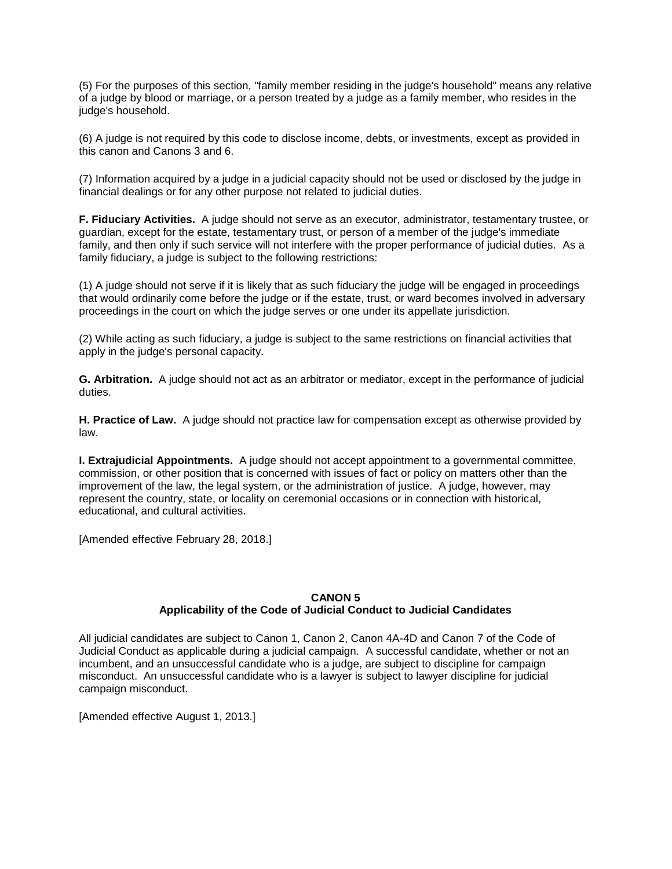(5) For the purposes of this section, "family member residing in the judge's household" means any relative of a judge by blood or marriage, or a person treated by a judge as a family member, who resides in the judge's household.

(6) A judge is not required by this code to disclose income, debts, or investments, except as provided in this canon and Canons 3 and 6.

(7) Information acquired by a judge in a judicial capacity should not be used or disclosed by the judge in financial dealings or for any other purpose not related to judicial duties.

**F. Fiduciary Activities.** A judge should not serve as an executor, administrator, testamentary trustee, or guardian, except for the estate, testamentary trust, or person of a member of the judge's immediate family, and then only if such service will not interfere with the proper performance of judicial duties. As a family fiduciary, a judge is subject to the following restrictions:

(1) A judge should not serve if it is likely that as such fiduciary the judge will be engaged in proceedings that would ordinarily come before the judge or if the estate, trust, or ward becomes involved in adversary proceedings in the court on which the judge serves or one under its appellate jurisdiction.

(2) While acting as such fiduciary, a judge is subject to the same restrictions on financial activities that apply in the judge's personal capacity.

**G. Arbitration.** A judge should not act as an arbitrator or mediator, except in the performance of judicial duties.

**H. Practice of Law.** A judge should not practice law for compensation except as otherwise provided by law.

**I. Extrajudicial Appointments.** A judge should not accept appointment to a governmental committee, commission, or other position that is concerned with issues of fact or policy on matters other than the improvement of the law, the legal system, or the administration of justice. A judge, however, may represent the country, state, or locality on ceremonial occasions or in connection with historical, educational, and cultural activities.

[Amended effective February 28, 2018.]

#### **CANON 5 Applicability of the Code of Judicial Conduct to Judicial Candidates**

All judicial candidates are subject to Canon 1, Canon 2, Canon 4A-4D and Canon 7 of the Code of Judicial Conduct as applicable during a judicial campaign. A successful candidate, whether or not an incumbent, and an unsuccessful candidate who is a judge, are subject to discipline for campaign misconduct. An unsuccessful candidate who is a lawyer is subject to lawyer discipline for judicial campaign misconduct.

[Amended effective August 1, 2013.]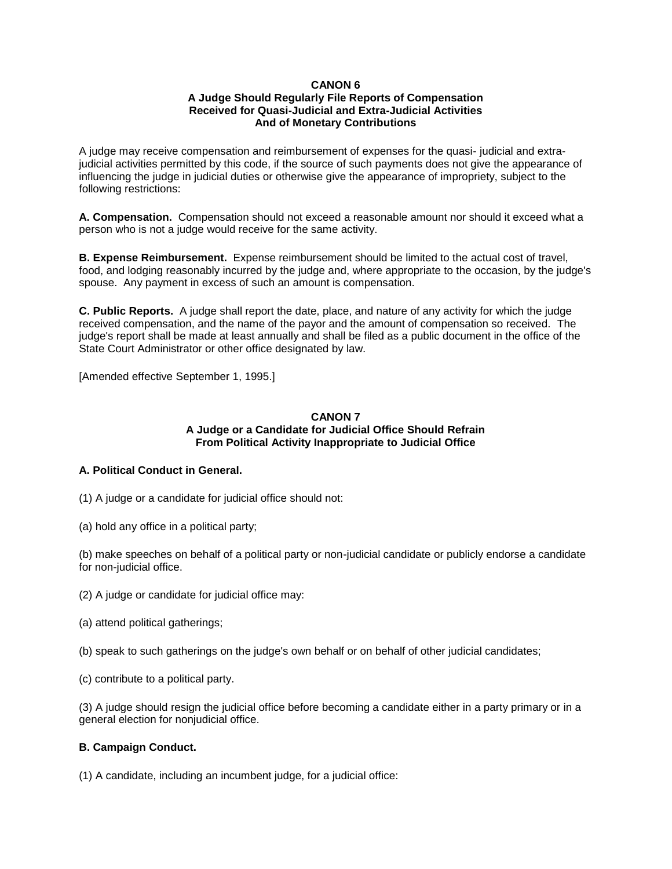#### **CANON 6**

#### **A Judge Should Regularly File Reports of Compensation Received for Quasi-Judicial and Extra-Judicial Activities And of Monetary Contributions**

A judge may receive compensation and reimbursement of expenses for the quasi- judicial and extrajudicial activities permitted by this code, if the source of such payments does not give the appearance of influencing the judge in judicial duties or otherwise give the appearance of impropriety, subject to the following restrictions:

**A. Compensation.** Compensation should not exceed a reasonable amount nor should it exceed what a person who is not a judge would receive for the same activity.

**B. Expense Reimbursement.** Expense reimbursement should be limited to the actual cost of travel, food, and lodging reasonably incurred by the judge and, where appropriate to the occasion, by the judge's spouse. Any payment in excess of such an amount is compensation.

**C. Public Reports.** A judge shall report the date, place, and nature of any activity for which the judge received compensation, and the name of the payor and the amount of compensation so received. The judge's report shall be made at least annually and shall be filed as a public document in the office of the State Court Administrator or other office designated by law.

[Amended effective September 1, 1995.]

#### **CANON 7 A Judge or a Candidate for Judicial Office Should Refrain From Political Activity Inappropriate to Judicial Office**

## **A. Political Conduct in General.**

(1) A judge or a candidate for judicial office should not:

(a) hold any office in a political party;

(b) make speeches on behalf of a political party or non-judicial candidate or publicly endorse a candidate for non-judicial office.

(2) A judge or candidate for judicial office may:

- (a) attend political gatherings;
- (b) speak to such gatherings on the judge's own behalf or on behalf of other judicial candidates;
- (c) contribute to a political party.

(3) A judge should resign the judicial office before becoming a candidate either in a party primary or in a general election for nonjudicial office.

#### **B. Campaign Conduct.**

(1) A candidate, including an incumbent judge, for a judicial office: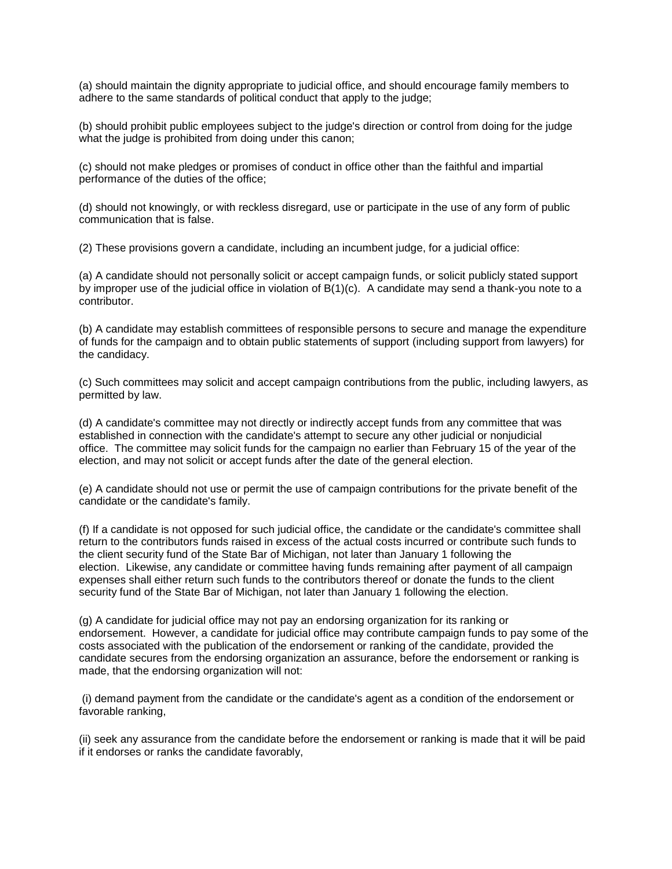(a) should maintain the dignity appropriate to judicial office, and should encourage family members to adhere to the same standards of political conduct that apply to the judge;

(b) should prohibit public employees subject to the judge's direction or control from doing for the judge what the judge is prohibited from doing under this canon;

(c) should not make pledges or promises of conduct in office other than the faithful and impartial performance of the duties of the office;

(d) should not knowingly, or with reckless disregard, use or participate in the use of any form of public communication that is false.

(2) These provisions govern a candidate, including an incumbent judge, for a judicial office:

(a) A candidate should not personally solicit or accept campaign funds, or solicit publicly stated support by improper use of the judicial office in violation of B(1)(c). A candidate may send a thank-you note to a contributor.

(b) A candidate may establish committees of responsible persons to secure and manage the expenditure of funds for the campaign and to obtain public statements of support (including support from lawyers) for the candidacy.

(c) Such committees may solicit and accept campaign contributions from the public, including lawyers, as permitted by law.

(d) A candidate's committee may not directly or indirectly accept funds from any committee that was established in connection with the candidate's attempt to secure any other judicial or nonjudicial office. The committee may solicit funds for the campaign no earlier than February 15 of the year of the election, and may not solicit or accept funds after the date of the general election.

(e) A candidate should not use or permit the use of campaign contributions for the private benefit of the candidate or the candidate's family.

(f) If a candidate is not opposed for such judicial office, the candidate or the candidate's committee shall return to the contributors funds raised in excess of the actual costs incurred or contribute such funds to the client security fund of the State Bar of Michigan, not later than January 1 following the election. Likewise, any candidate or committee having funds remaining after payment of all campaign expenses shall either return such funds to the contributors thereof or donate the funds to the client security fund of the State Bar of Michigan, not later than January 1 following the election.

(g) A candidate for judicial office may not pay an endorsing organization for its ranking or endorsement. However, a candidate for judicial office may contribute campaign funds to pay some of the costs associated with the publication of the endorsement or ranking of the candidate, provided the candidate secures from the endorsing organization an assurance, before the endorsement or ranking is made, that the endorsing organization will not:

(i) demand payment from the candidate or the candidate's agent as a condition of the endorsement or favorable ranking,

(ii) seek any assurance from the candidate before the endorsement or ranking is made that it will be paid if it endorses or ranks the candidate favorably,